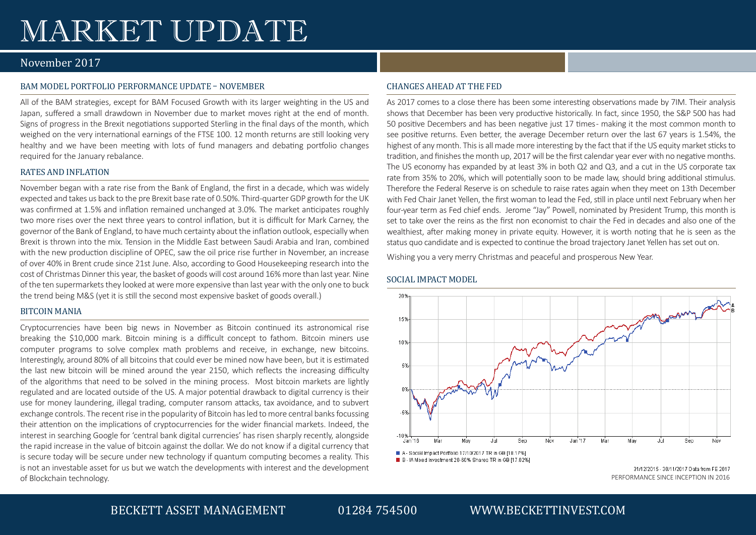# MARKET UPDATE

# November 2017

## BAM MODEL PORTFOLIO PERFORMANCE UPDATE – NOVEMBER

All of the BAM strategies, except for BAM Focused Growth with its larger weighting in the US and Japan, suffered a small drawdown in November due to market moves right at the end of month. Signs of progress in the Brexit negotiations supported Sterling in the final days of the month, which weighed on the very international earnings of the FTSE 100. 12 month returns are still looking very healthy and we have been meeting with lots of fund managers and debating portfolio changes required for the January rebalance.

## RATES AND INFLATION

November began with a rate rise from the Bank of England, the first in a decade, which was widely expected and takes us back to the pre Brexit base rate of 0.50%. Third-quarter GDP growth for the UK was confirmed at 1.5% and inflation remained unchanged at 3.0%. The market anticipates roughly two more rises over the next three years to control inflation, but it is difficult for Mark Carney, the governor of the Bank of England, to have much certainty about the inflation outlook, especially when Brexit is thrown into the mix. Tension in the Middle East between Saudi Arabia and Iran, combined with the new production discipline of OPEC, saw the oil price rise further in November, an increase of over 40% in Brent crude since 21st June. Also, according to Good Housekeeping research into the cost of Christmas Dinner this year, the basket of goods will cost around 16% more than last year. Nine of the ten supermarkets they looked at were more expensive than last year with the only one to buck the trend being M&S (yet it is still the second most expensive basket of goods overall.)

## BITCOIN MANIA

Cryptocurrencies have been big news in November as Bitcoin continued its astronomical rise breaking the \$10,000 mark. Bitcoin mining is a difficult concept to fathom. Bitcoin miners use computer programs to solve complex math problems and receive, in exchange, new bitcoins. Interestingly, around 80% of all bitcoins that could ever be mined now have been, but it is estimated the last new bitcoin will be mined around the year 2150, which reflects the increasing difficulty of the algorithms that need to be solved in the mining process. Most bitcoin markets are lightly regulated and are located outside of the US. A major potential drawback to digital currency is their use for money laundering, illegal trading, computer ransom attacks, tax avoidance, and to subvert exchange controls. The recent rise in the popularity of Bitcoin has led to more central banks focussing their attention on the implications of cryptocurrencies for the wider financial markets. Indeed, the interest in searching Google for 'central bank digital currencies' has risen sharply recently, alongside the rapid increase in the value of bitcoin against the dollar. We do not know if a digital currency that is secure today will be secure under new technology if quantum computing becomes a reality. This is not an investable asset for us but we watch the developments with interest and the development of Blockchain technology.

## CHANGES AHEAD AT THE FED

As 2017 comes to a close there has been some interesting observations made by 7IM. Their analysis shows that December has been very productive historically. In fact, since 1950, the S&P 500 has had 50 positive Decembers and has been negative just 17 times - making it the most common month to see positive returns. Even better, the average December return over the last 67 years is 1.54%, the highest of any month. This is all made more interesting by the fact that if the US equity market sticks to tradition, and finishes the month up, 2017 will be the first calendar year ever with no negative months. The US economy has expanded by at least 3% in both Q2 and Q3, and a cut in the US corporate tax rate from 35% to 20%, which will potentially soon to be made law, should bring additional stimulus. Therefore the Federal Reserve is on schedule to raise rates again when they meet on 13th December with Fed Chair Janet Yellen, the first woman to lead the Fed, still in place until next February when her four-year term as Fed chief ends. Jerome "Jay" Powell, nominated by President Trump, this month is set to take over the reins as the first non economist to chair the Fed in decades and also one of the wealthiest, after making money in private equity. However, it is worth noting that he is seen as the status quo candidate and is expected to continue the broad trajectory Janet Yellen has set out on.

Wishing you a very merry Christmas and peaceful and prosperous New Year.

## SOCIAL IMPACT MODEL



<sup>31/12/2015 - 30/11/2017</sup> Data from FE 2017 PERFORMANCE SINCE INCEPTION IN 2016

# BECKETT ASSET MANAGEMENT 01284 754500 WWW.BECKETTINVEST.COM